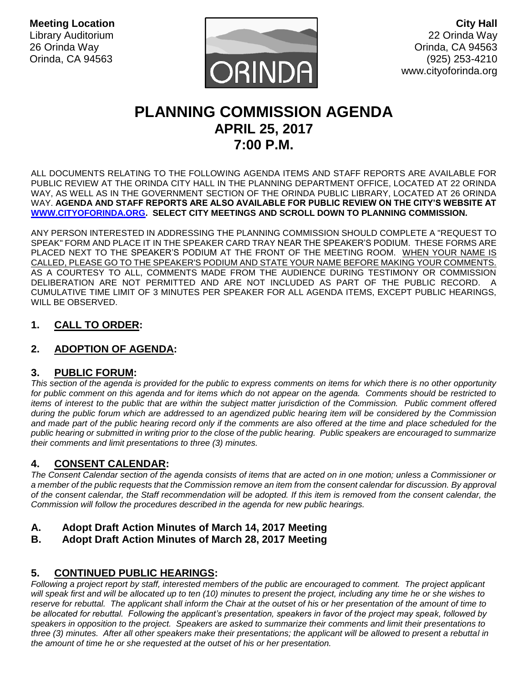**Meeting Location** Library Auditorium 26 Orinda Way Orinda, CA 94563



**City Hall** 22 Orinda Way Orinda, CA 94563 (925) 253-4210 www.cityoforinda.org

# **PLANNING COMMISSION AGENDA APRIL 25, 2017 7:00 P.M.**

ALL DOCUMENTS RELATING TO THE FOLLOWING AGENDA ITEMS AND STAFF REPORTS ARE AVAILABLE FOR PUBLIC REVIEW AT THE ORINDA CITY HALL IN THE PLANNING DEPARTMENT OFFICE, LOCATED AT 22 ORINDA WAY, AS WELL AS IN THE GOVERNMENT SECTION OF THE ORINDA PUBLIC LIBRARY, LOCATED AT 26 ORINDA WAY. **AGENDA AND STAFF REPORTS ARE ALSO AVAILABLE FOR PUBLIC REVIEW ON THE CITY'S WEBSITE AT [WWW.CITYOFORINDA.ORG.](http://www.cityoforinda.org/) SELECT CITY MEETINGS AND SCROLL DOWN TO PLANNING COMMISSION.** 

ANY PERSON INTERESTED IN ADDRESSING THE PLANNING COMMISSION SHOULD COMPLETE A "REQUEST TO SPEAK" FORM AND PLACE IT IN THE SPEAKER CARD TRAY NEAR THE SPEAKER'S PODIUM. THESE FORMS ARE PLACED NEXT TO THE SPEAKER'S PODIUM AT THE FRONT OF THE MEETING ROOM. WHEN YOUR NAME IS CALLED, PLEASE GO TO THE SPEAKER'S PODIUM AND STATE YOUR NAME BEFORE MAKING YOUR COMMENTS. AS A COURTESY TO ALL, COMMENTS MADE FROM THE AUDIENCE DURING TESTIMONY OR COMMISSION DELIBERATION ARE NOT PERMITTED AND ARE NOT INCLUDED AS PART OF THE PUBLIC RECORD. A CUMULATIVE TIME LIMIT OF 3 MINUTES PER SPEAKER FOR ALL AGENDA ITEMS, EXCEPT PUBLIC HEARINGS, WILL BE OBSERVED.

# **1. CALL TO ORDER:**

# **2. ADOPTION OF AGENDA:**

# **3. PUBLIC FORUM:**

*This section of the agenda is provided for the public to express comments on items for which there is no other opportunity*  for public comment on this agenda and for items which do not appear on the agenda. Comments should be restricted to *items of interest to the public that are within the subject matter jurisdiction of the Commission. Public comment offered during the public forum which are addressed to an agendized public hearing item will be considered by the Commission*  and made part of the public hearing record only if the comments are also offered at the time and place scheduled for the *public hearing or submitted in writing prior to the close of the public hearing. Public speakers are encouraged to summarize their comments and limit presentations to three (3) minutes.*

# **4. CONSENT CALENDAR:**

*The Consent Calendar section of the agenda consists of items that are acted on in one motion; unless a Commissioner or a member of the public requests that the Commission remove an item from the consent calendar for discussion. By approval of the consent calendar, the Staff recommendation will be adopted. If this item is removed from the consent calendar, the Commission will follow the procedures described in the agenda for new public hearings.* 

- **A. Adopt Draft Action Minutes of March 14, 2017 Meeting**
- **B. Adopt Draft Action Minutes of March 28, 2017 Meeting**

# **5. CONTINUED PUBLIC HEARINGS:**

*Following a project report by staff, interested members of the public are encouraged to comment. The project applicant*  will speak first and will be allocated up to ten (10) minutes to present the project, including any time he or she wishes to *reserve for rebuttal. The applicant shall inform the Chair at the outset of his or her presentation of the amount of time to be allocated for rebuttal. Following the applicant's presentation, speakers in favor of the project may speak, followed by speakers in opposition to the project. Speakers are asked to summarize their comments and limit their presentations to three (3) minutes. After all other speakers make their presentations; the applicant will be allowed to present a rebuttal in the amount of time he or she requested at the outset of his or her presentation.*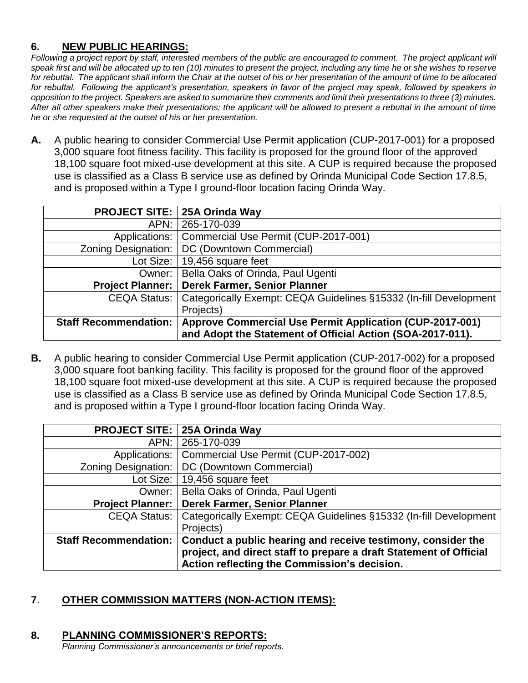# **6. NEW PUBLIC HEARINGS:**

*Following a project report by staff, interested members of the public are encouraged to comment. The project applicant will speak first and will be allocated up to ten (10) minutes to present the project, including any time he or she wishes to reserve for rebuttal. The applicant shall inform the Chair at the outset of his or her presentation of the amount of time to be allocated for rebuttal. Following the applicant's presentation, speakers in favor of the project may speak, followed by speakers in opposition to the project. Speakers are asked to summarize their comments and limit their presentations to three (3) minutes. After all other speakers make their presentations; the applicant will be allowed to present a rebuttal in the amount of time he or she requested at the outset of his or her presentation.*

**A.** A public hearing to consider Commercial Use Permit application (CUP-2017-001) for a proposed 3,000 square foot fitness facility. This facility is proposed for the ground floor of the approved 18,100 square foot mixed-use development at this site. A CUP is required because the proposed use is classified as a Class B service use as defined by Orinda Municipal Code Section 17.8.5, and is proposed within a Type I ground-floor location facing Orinda Way.

|                              | <b>PROJECT SITE: 25A Orinda Way</b>                               |
|------------------------------|-------------------------------------------------------------------|
| APN:                         | 265-170-039                                                       |
| Applications:                | Commercial Use Permit (CUP-2017-001)                              |
| <b>Zoning Designation:</b>   | DC (Downtown Commercial)                                          |
| Lot Size:                    | 19,456 square feet                                                |
| Owner:                       | Bella Oaks of Orinda, Paul Ugenti                                 |
| <b>Project Planner:</b>      | Derek Farmer, Senior Planner                                      |
| <b>CEQA Status:</b>          | Categorically Exempt: CEQA Guidelines §15332 (In-fill Development |
|                              | Projects)                                                         |
| <b>Staff Recommendation:</b> | <b>Approve Commercial Use Permit Application (CUP-2017-001)</b>   |
|                              | and Adopt the Statement of Official Action (SOA-2017-011).        |

**B.** A public hearing to consider Commercial Use Permit application (CUP-2017-002) for a proposed 3,000 square foot banking facility. This facility is proposed for the ground floor of the approved 18,100 square foot mixed-use development at this site. A CUP is required because the proposed use is classified as a Class B service use as defined by Orinda Municipal Code Section 17.8.5, and is proposed within a Type I ground-floor location facing Orinda Way.

| <b>PROJECT SITE:</b>         | 25A Orinda Way                                                                                                                                                                     |
|------------------------------|------------------------------------------------------------------------------------------------------------------------------------------------------------------------------------|
| APN:                         | 265-170-039                                                                                                                                                                        |
| Applications:                | Commercial Use Permit (CUP-2017-002)                                                                                                                                               |
| <b>Zoning Designation:</b>   | DC (Downtown Commercial)                                                                                                                                                           |
| Lot Size:                    | 19,456 square feet                                                                                                                                                                 |
| Owner:                       | Bella Oaks of Orinda, Paul Ugenti                                                                                                                                                  |
| <b>Project Planner:</b>      | Derek Farmer, Senior Planner                                                                                                                                                       |
| CEQA Status:                 | Categorically Exempt: CEQA Guidelines §15332 (In-fill Development                                                                                                                  |
|                              | Projects)                                                                                                                                                                          |
| <b>Staff Recommendation:</b> | Conduct a public hearing and receive testimony, consider the<br>project, and direct staff to prepare a draft Statement of Official<br>Action reflecting the Commission's decision. |

# **7**. **OTHER COMMISSION MATTERS (NON-ACTION ITEMS):**

# **8. PLANNING COMMISSIONER'S REPORTS:**

*Planning Commissioner's announcements or brief reports.*